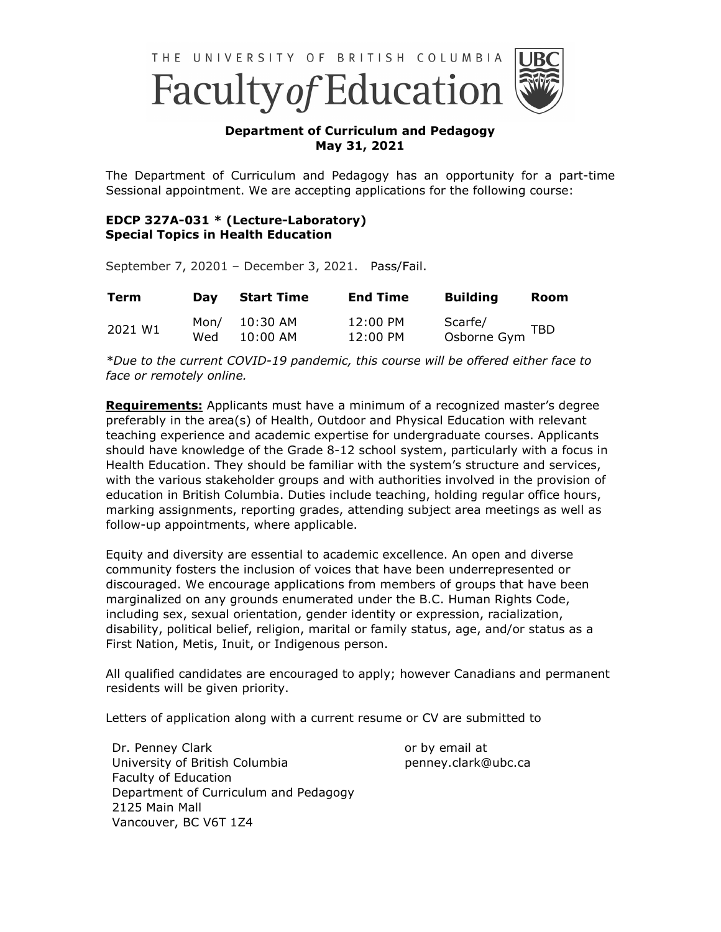

## **Department of Curriculum and Pedagogy May 31, 2021**

The Department of Curriculum and Pedagogy has an opportunity for a part-time Sessional appointment. We are accepting applications for the following course:

## **EDCP 327A-031 \* (Lecture-Laboratory) Special Topics in Health Education**

September 7, 20201 – December 3, 2021. Pass/Fail.

| <b>Term</b> | Dav  | Start Time           | <b>End Time</b> | <b>Building</b> | <b>Room</b> |
|-------------|------|----------------------|-----------------|-----------------|-------------|
| 2021 W1     | Mon/ | 10:30 AM             | 12:00 PM        | Scarfe/         | TBD         |
|             | Wed  | $10:00 \, \text{AM}$ | 12:00 PM        | Osborne Gym     |             |

*\*Due to the current COVID-19 pandemic, this course will be offered either face to face or remotely online.* 

**Requirements:** Applicants must have a minimum of a recognized master's degree preferably in the area(s) of Health, Outdoor and Physical Education with relevant teaching experience and academic expertise for undergraduate courses. Applicants should have knowledge of the Grade 8-12 school system, particularly with a focus in Health Education. They should be familiar with the system's structure and services, with the various stakeholder groups and with authorities involved in the provision of education in British Columbia. Duties include teaching, holding regular office hours, marking assignments, reporting grades, attending subject area meetings as well as follow-up appointments, where applicable.

Equity and diversity are essential to academic excellence. An open and diverse community fosters the inclusion of voices that have been underrepresented or discouraged. We encourage applications from members of groups that have been marginalized on any grounds enumerated under the B.C. Human Rights Code, including sex, sexual orientation, gender identity or expression, racialization, disability, political belief, religion, marital or family status, age, and/or status as a First Nation, Metis, Inuit, or Indigenous person.

All qualified candidates are encouraged to apply; however Canadians and permanent residents will be given priority.

Letters of application along with a current resume or CV are submitted to

Dr. Penney Clark University of British Columbia Faculty of Education Department of Curriculum and Pedagogy 2125 Main Mall Vancouver, BC V6T 1Z4

or by email at penney.clark@ubc.ca